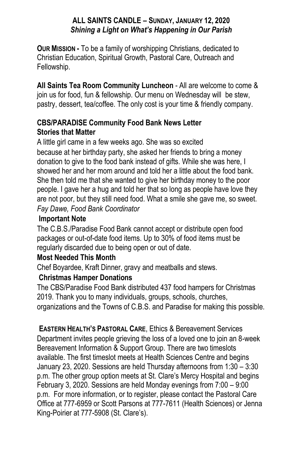#### **ALL SAINTS CANDLE – SUNDAY, JANUARY 12, 2020** *Shining a Light on What's Happening in Our Parish*

**OUR MISSION -** To be a family of worshipping Christians, dedicated to Christian Education, Spiritual Growth, Pastoral Care, Outreach and Fellowship.

**All Saints Tea Room Community Luncheon** - All are welcome to come & join us for food, fun & fellowship. Our menu on Wednesday will be stew, pastry, dessert, tea/coffee. The only cost is your time & friendly company.

#### **CBS/PARADISE Community Food Bank News Letter Stories that Matter**

A little girl came in a few weeks ago. She was so excited

because at her birthday party, she asked her friends to bring a money donation to give to the food bank instead of gifts. While she was here, I showed her and her mom around and told her a little about the food bank. She then told me that she wanted to give her birthday money to the poor people. I gave her a hug and told her that so long as people have love they are not poor, but they still need food. What a smile she gave me, so sweet. *Fay Dawe, Food Bank Coordinator*

#### **Important Note**

The C.B.S./Paradise Food Bank cannot accept or distribute open food packages or out-of-date food items. Up to 30% of food items must be regularly discarded due to being open or out of date.

#### **Most Needed This Month**

Chef Boyardee, Kraft Dinner, gravy and meatballs and stews.

#### **Christmas Hamper Donations**

The CBS/Paradise Food Bank distributed 437 food hampers for Christmas 2019. Thank you to many individuals, groups, schools, churches, organizations and the Towns of C.B.S. and Paradise for making this possible.

**EASTERN HEALTH'S PASTORAL CARE**, Ethics & Bereavement Services Department invites people grieving the loss of a loved one to join an 8-week Bereavement Information & Support Group. There are two timeslots available. The first timeslot meets at Health Sciences Centre and begins January 23, 2020. Sessions are held Thursday afternoons from 1:30 – 3:30 p.m. The other group option meets at St. Clare's Mercy Hospital and begins February 3, 2020. Sessions are held Monday evenings from 7:00 – 9:00 p.m. For more information, or to register, please contact the Pastoral Care Office at 777-6959 or Scott Parsons at 777-7611 (Health Sciences) or Jenna King-Poirier at 777-5908 (St. Clare's).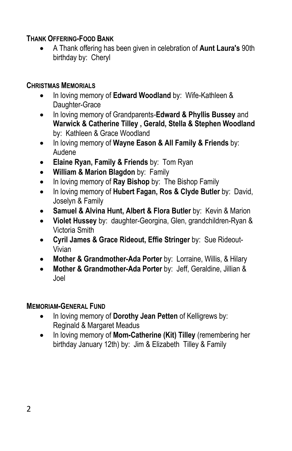#### **THANK OFFERING-FOOD BANK**

 A Thank offering has been given in celebration of **Aunt Laura's** 90th birthday by: Cheryl

#### **CHRISTMAS MEMORIALS**

- In loving memory of **Edward Woodland** by: Wife-Kathleen & Daughter-Grace
- In loving memory of Grandparents-**Edward & Phyllis Bussey** and **Warwick & Catherine Tilley , Gerald, Stella & Stephen Woodland** by: Kathleen & Grace Woodland
- In loving memory of **Wayne Eason & All Family & Friends** by: Audene
- **Elaine Ryan, Family & Friends** by: Tom Ryan
- **William & Marion Blagdon** by: Family
- In loving memory of **Ray Bishop** by: The Bishop Family
- In loving memory of **Hubert Fagan, Ros & Clyde Butler** by: David, Joselyn & Family
- **Samuel & Alvina Hunt, Albert & Flora Butler** by: Kevin & Marion
- **Violet Hussey** by: daughter-Georgina, Glen, grandchildren-Ryan & Victoria Smith
- **Cyril James & Grace Rideout, Effie Stringer** by: Sue Rideout-Vivian
- **Mother & Grandmother-Ada Porter** by: Lorraine, Willis, & Hilary
- **Mother & Grandmother-Ada Porter** by: Jeff, Geraldine, Jillian & Joel

#### **MEMORIAM-GENERAL FUND**

- In loving memory of **Dorothy Jean Petten** of Kelligrews by: Reginald & Margaret Meadus
- In loving memory of **Mom-Catherine (Kit) Tilley** (remembering her birthday January 12th) by: Jim & Elizabeth Tilley & Family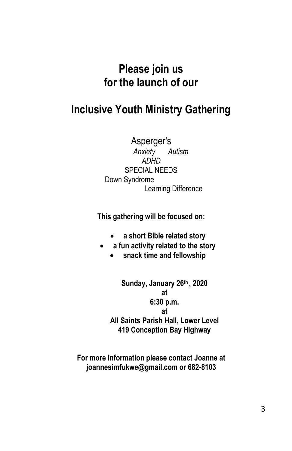# **Please join us for the launch of our**

# **Inclusive Youth Ministry Gathering**

### Asperger's

 *Anxiety Autism ADHD* SPECIAL NEEDS Down Syndrome Learning Difference

**This gathering will be focused on:**

- **a short Bible related story**
- **a fun activity related to the story**
	- **snack time and fellowship**

**Sunday, January 26th , 2020 at 6:30 p.m. at All Saints Parish Hall, Lower Level 419 Conception Bay Highway**

**For more information please contact Joanne at joannesimfukwe@gmail.com or 682-8103**